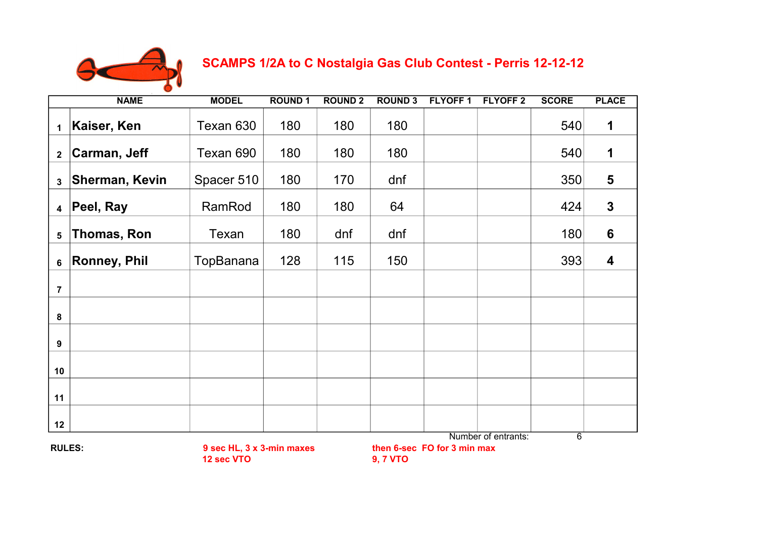

 **SCAMPS 1/2A to C Nostalgia Gas Club Contest - Perris 12-12-12**

| <b>NAME</b>                                              |                       | <b>MODEL</b> | <b>ROUND 1</b> | <b>ROUND 2</b>                                                                          | <b>ROUND 3</b> | <b>FLYOFF1</b> | <b>FLYOFF 2</b> | <b>SCORE</b> | <b>PLACE</b>   |
|----------------------------------------------------------|-----------------------|--------------|----------------|-----------------------------------------------------------------------------------------|----------------|----------------|-----------------|--------------|----------------|
| 1                                                        | Kaiser, Ken           | Texan 630    | 180            | 180                                                                                     | 180            |                |                 | 540          | 1              |
| $\overline{\mathbf{2}}$                                  | Carman, Jeff          | Texan 690    | 180            | 180                                                                                     | 180            |                |                 | 540          | 1              |
| $\mathbf{3}$                                             | <b>Sherman, Kevin</b> | Spacer 510   | 180            | 170                                                                                     | dnf            |                |                 | 350          | 5              |
| $\overline{\mathbf{4}}$                                  | Peel, Ray             | RamRod       | 180            | 180                                                                                     | 64             |                |                 | 424          | $\mathbf{3}$   |
| 5                                                        | Thomas, Ron           | Texan        | 180            | dnf                                                                                     | dnf            |                |                 | 180          | $6\phantom{1}$ |
| 6                                                        | <b>Ronney, Phil</b>   | TopBanana    | 128            | 115                                                                                     | 150            |                |                 | 393          | 4              |
| $\overline{7}$                                           |                       |              |                |                                                                                         |                |                |                 |              |                |
| 8                                                        |                       |              |                |                                                                                         |                |                |                 |              |                |
| 9                                                        |                       |              |                |                                                                                         |                |                |                 |              |                |
| 10                                                       |                       |              |                |                                                                                         |                |                |                 |              |                |
| 11                                                       |                       |              |                |                                                                                         |                |                |                 |              |                |
| 12                                                       |                       |              |                |                                                                                         |                |                |                 |              |                |
| <b>RULES:</b><br>9 sec HL, 3 x 3-min maxes<br>12 sec VTO |                       |              |                | Number of entrants:<br>$\overline{6}$<br>then 6-sec FO for 3 min max<br><b>9, 7 VTO</b> |                |                |                 |              |                |